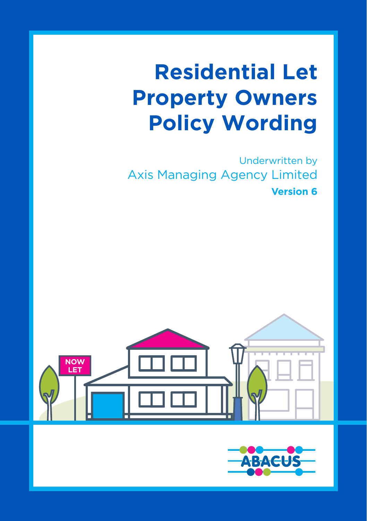# **Residential Let Property Owners Policy Wording**

Underwritten by Axis Managing Agency Limited **Version 6**



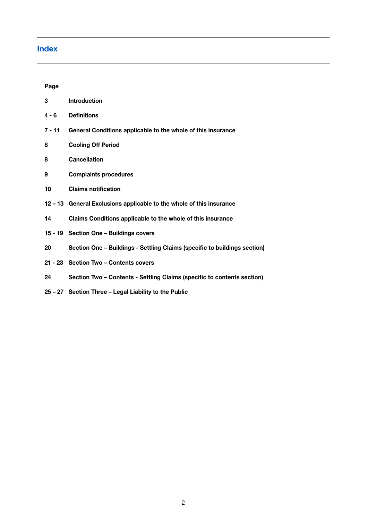### **Index**

**Page**

| 3        | Introduction                                                              |
|----------|---------------------------------------------------------------------------|
| $4 - 6$  | <b>Definitions</b>                                                        |
| $7 - 11$ | General Conditions applicable to the whole of this insurance              |
| 8        | <b>Cooling Off Period</b>                                                 |
| 8        | <b>Cancellation</b>                                                       |
| 9        | <b>Complaints procedures</b>                                              |
| 10       | <b>Claims notification</b>                                                |
|          | 12 - 13 General Exclusions applicable to the whole of this insurance      |
| 14       | Claims Conditions applicable to the whole of this insurance               |
|          | 15 - 19 Section One - Buildings covers                                    |
| 20       | Section One - Buildings - Settling Claims (specific to buildings section) |
|          | 21 - 23 Section Two - Contents covers                                     |
| 24       | Section Two - Contents - Settling Claims (specific to contents section)   |
|          | 25 - 27 Section Three - Legal Liability to the Public                     |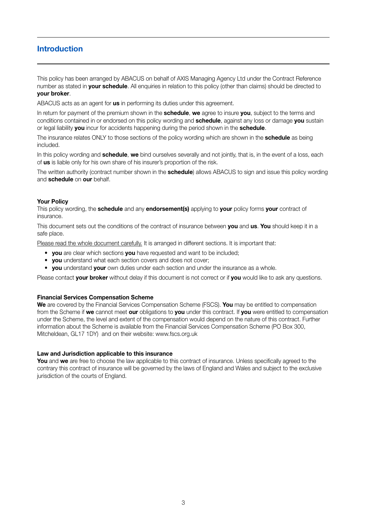### **Introduction**

This policy has been arranged by ABACUS on behalf of AXIS Managing Agency Ltd under the Contract Reference number as stated in **your schedule**. All enquiries in relation to this policy (other than claims) should be directed to **your broker**.

ABACUS acts as an agent for **us** in performing its duties under this agreement.

In return for payment of the premium shown in the **schedule**, **we** agree to insure **you**, subject to the terms and conditions contained in or endorsed on this policy wording and **schedule**, against any loss or damage **you** sustain or legal liability **you** incur for accidents happening during the period shown in the **schedule**.

The insurance relates ONLY to those sections of the policy wording which are shown in the **schedule** as being included.

In this policy wording and **schedule**, **we** bind ourselves severally and not jointly, that is, in the event of a loss, each of **us** is liable only for his own share of his insurer's proportion of the risk.

The written authority (contract number shown in the **schedule**) allows ABACUS to sign and issue this policy wording and **schedule** on **our** behalf.

### **Your Policy**

This policy wording, the **schedule** and any **endorsement(s)** applying to **your** policy forms **your** contract of insurance.

This document sets out the conditions of the contract of insurance between **you** and **us**. **You** should keep it in a safe place.

Please read the whole document carefully. It is arranged in different sections. It is important that:

- **you** are clear which sections **you** have requested and want to be included;
- **you** understand what each section covers and does not cover;
- **you** understand **your** own duties under each section and under the insurance as a whole.

Please contact **your broker** without delay if this document is not correct or if **you** would like to ask any questions.

### **Financial Services Compensation Scheme**

**We** are covered by the Financial Services Compensation Scheme (FSCS). **You** may be entitled to compensation from the Scheme if **we** cannot meet **our** obligations to **you** under this contract. If **you** were entitled to compensation under the Scheme, the level and extent of the compensation would depend on the nature of this contract. Further information about the Scheme is available from the Financial Services Compensation Scheme (PO Box 300, Mitcheldean, GL17 1DY) and on their website: www.fscs.org.uk

### **Law and Jurisdiction applicable to this insurance**

**You** and **we** are free to choose the law applicable to this contract of insurance. Unless specifically agreed to the contrary this contract of insurance will be governed by the laws of England and Wales and subject to the exclusive jurisdiction of the courts of England.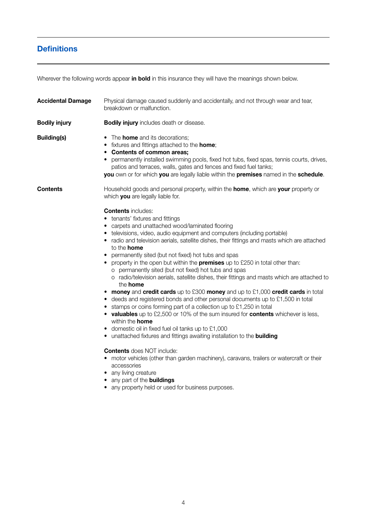# **Definitions**

Wherever the following words appear **in bold** in this insurance they will have the meanings shown below.

| <b>Accidental Damage</b> | Physical damage caused suddenly and accidentally, and not through wear and tear,<br>breakdown or malfunction.                                                                                                                                                                                                                                                                                                                                                                                                                                                                                                                                                                                                                                                                                                                                                                                                                                                                                                                                                                                                                                                                                                                                                                                                                                                                                                                       |  |
|--------------------------|-------------------------------------------------------------------------------------------------------------------------------------------------------------------------------------------------------------------------------------------------------------------------------------------------------------------------------------------------------------------------------------------------------------------------------------------------------------------------------------------------------------------------------------------------------------------------------------------------------------------------------------------------------------------------------------------------------------------------------------------------------------------------------------------------------------------------------------------------------------------------------------------------------------------------------------------------------------------------------------------------------------------------------------------------------------------------------------------------------------------------------------------------------------------------------------------------------------------------------------------------------------------------------------------------------------------------------------------------------------------------------------------------------------------------------------|--|
| <b>Bodily injury</b>     | <b>Bodily injury</b> includes death or disease.                                                                                                                                                                                                                                                                                                                                                                                                                                                                                                                                                                                                                                                                                                                                                                                                                                                                                                                                                                                                                                                                                                                                                                                                                                                                                                                                                                                     |  |
| Building(s)              | • The <b>home</b> and its decorations:<br>• fixtures and fittings attached to the <b>home</b> ;<br>• Contents of common areas;<br>• permanently installed swimming pools, fixed hot tubs, fixed spas, tennis courts, drives,<br>patios and terraces, walls, gates and fences and fixed fuel tanks;<br>you own or for which you are legally liable within the premises named in the schedule.                                                                                                                                                                                                                                                                                                                                                                                                                                                                                                                                                                                                                                                                                                                                                                                                                                                                                                                                                                                                                                        |  |
| Contents                 | Household goods and personal property, within the <b>home</b> , which are <b>your</b> property or<br>which you are legally liable for.                                                                                                                                                                                                                                                                                                                                                                                                                                                                                                                                                                                                                                                                                                                                                                                                                                                                                                                                                                                                                                                                                                                                                                                                                                                                                              |  |
|                          | <b>Contents</b> includes:<br>• tenants' fixtures and fittings<br>• carpets and unattached wood/laminated flooring<br>• televisions, video, audio equipment and computers (including portable)<br>• radio and television aerials, satellite dishes, their fittings and masts which are attached<br>to the <b>home</b><br>• permanently sited (but not fixed) hot tubs and spas<br>• property in the open but within the <b>premises</b> up to £250 in total other than:<br>o permanently sited (but not fixed) hot tubs and spas<br>o radio/television aerials, satellite dishes, their fittings and masts which are attached to<br>the <b>home</b><br>• money and credit cards up to £300 money and up to $£1,000$ credit cards in total<br>• deeds and registered bonds and other personal documents up to £1,500 in total<br>• stamps or coins forming part of a collection up to £1,250 in total<br>• valuables up to £2,500 or 10% of the sum insured for contents whichever is less,<br>within the <b>home</b><br>• domestic oil in fixed fuel oil tanks up to £1,000<br>• unattached fixtures and fittings awaiting installation to the <b>building</b><br><b>Contents</b> does NOT include:<br>• motor vehicles (other than garden machinery), caravans, trailers or watercraft or their<br>accessories<br>• any living creature<br>• any part of the <b>buildings</b><br>• any property held or used for business purposes. |  |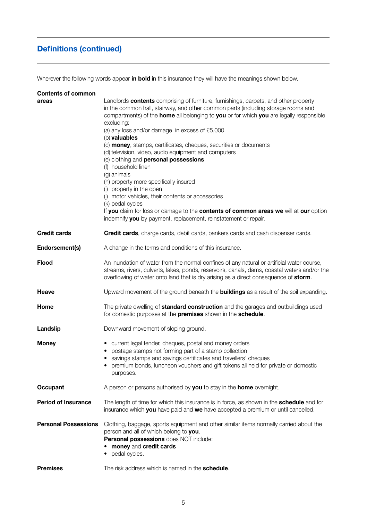# **Definitions (continued)**

Wherever the following words appear **in bold** in this insurance they will have the meanings shown below.

| <b>Contents of common</b>   |                                                                                                                                                                                                                                                                                                                                                                                                                                                                                                                                                                                                                                                                                                                                                                                                                                                                                                                         |
|-----------------------------|-------------------------------------------------------------------------------------------------------------------------------------------------------------------------------------------------------------------------------------------------------------------------------------------------------------------------------------------------------------------------------------------------------------------------------------------------------------------------------------------------------------------------------------------------------------------------------------------------------------------------------------------------------------------------------------------------------------------------------------------------------------------------------------------------------------------------------------------------------------------------------------------------------------------------|
| areas                       | Landlords <b>contents</b> comprising of furniture, furnishings, carpets, and other property<br>in the common hall, stairway, and other common parts (including storage rooms and<br>compartments) of the <b>home</b> all belonging to <b>you</b> or for which <b>you</b> are legally responsible<br>excluding:<br>(a) any loss and/or damage in excess of £5,000<br>(b) valuables<br>(c) <b>money</b> , stamps, certificates, cheques, securities or documents<br>(d) television, video, audio equipment and computers<br>(e) clothing and <b>personal possessions</b><br>(f) household linen<br>(g) animals<br>(h) property more specifically insured<br>(i) property in the open<br>(i) motor vehicles, their contents or accessories<br>(k) pedal cycles<br>If you claim for loss or damage to the contents of common areas we will at our option<br>indemnify you by payment, replacement, reinstatement or repair. |
| Credit cards                | Credit cards, charge cards, debit cards, bankers cards and cash dispenser cards.                                                                                                                                                                                                                                                                                                                                                                                                                                                                                                                                                                                                                                                                                                                                                                                                                                        |
| Endorsement(s)              | A change in the terms and conditions of this insurance.                                                                                                                                                                                                                                                                                                                                                                                                                                                                                                                                                                                                                                                                                                                                                                                                                                                                 |
| Flood                       | An inundation of water from the normal confines of any natural or artificial water course,<br>streams, rivers, culverts, lakes, ponds, reservoirs, canals, dams, coastal waters and/or the<br>overflowing of water onto land that is dry arising as a direct consequence of storm.                                                                                                                                                                                                                                                                                                                                                                                                                                                                                                                                                                                                                                      |
| Heave                       | Upward movement of the ground beneath the <b>buildings</b> as a result of the soil expanding.                                                                                                                                                                                                                                                                                                                                                                                                                                                                                                                                                                                                                                                                                                                                                                                                                           |
| Home                        | The private dwelling of <b>standard construction</b> and the garages and outbuildings used<br>for domestic purposes at the <b>premises</b> shown in the <b>schedule</b> .                                                                                                                                                                                                                                                                                                                                                                                                                                                                                                                                                                                                                                                                                                                                               |
| Landslip                    | Downward movement of sloping ground.                                                                                                                                                                                                                                                                                                                                                                                                                                                                                                                                                                                                                                                                                                                                                                                                                                                                                    |
| Money                       | • current legal tender, cheques, postal and money orders<br>• postage stamps not forming part of a stamp collection<br>• savings stamps and savings certificates and travellers' cheques<br>• premium bonds, luncheon vouchers and gift tokens all held for private or domestic<br>purposes.                                                                                                                                                                                                                                                                                                                                                                                                                                                                                                                                                                                                                            |
| Occupant                    | A person or persons authorised by <b>you</b> to stay in the <b>home</b> overnight.                                                                                                                                                                                                                                                                                                                                                                                                                                                                                                                                                                                                                                                                                                                                                                                                                                      |
| <b>Period of Insurance</b>  | The length of time for which this insurance is in force, as shown in the <b>schedule</b> and for<br>insurance which you have paid and we have accepted a premium or until cancelled.                                                                                                                                                                                                                                                                                                                                                                                                                                                                                                                                                                                                                                                                                                                                    |
| <b>Personal Possessions</b> | Clothing, baggage, sports equipment and other similar items normally carried about the<br>person and all of which belong to you.<br>Personal possessions does NOT include:<br>• money and credit cards<br>• pedal cycles.                                                                                                                                                                                                                                                                                                                                                                                                                                                                                                                                                                                                                                                                                               |
| <b>Premises</b>             | The risk address which is named in the <b>schedule</b> .                                                                                                                                                                                                                                                                                                                                                                                                                                                                                                                                                                                                                                                                                                                                                                                                                                                                |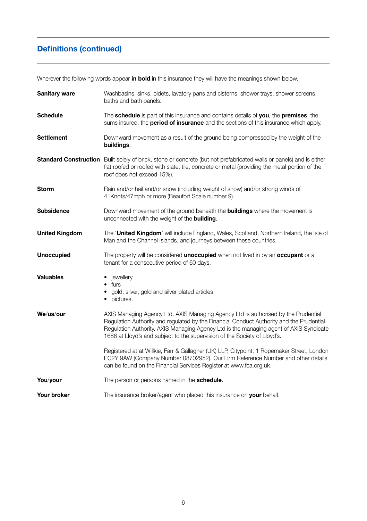# **Definitions (continued)**

Wherever the following words appear **in bold** in this insurance they will have the meanings shown below.

| <b>Sanitary ware</b>  | Washbasins, sinks, bidets, lavatory pans and cisterns, shower trays, shower screens,<br>baths and bath panels.                                                                                                                                                                                                                                        |  |
|-----------------------|-------------------------------------------------------------------------------------------------------------------------------------------------------------------------------------------------------------------------------------------------------------------------------------------------------------------------------------------------------|--|
| <b>Schedule</b>       | The schedule is part of this insurance and contains details of you, the premises, the<br>sums insured, the <b>period of insurance</b> and the sections of this insurance which apply.                                                                                                                                                                 |  |
| <b>Settlement</b>     | Downward movement as a result of the ground being compressed by the weight of the<br>buildings.                                                                                                                                                                                                                                                       |  |
|                       | Standard Construction Built solely of brick, stone or concrete (but not prefabricated walls or panels) and is either<br>flat roofed or roofed with slate, tile, concrete or metal (providing the metal portion of the<br>roof does not exceed 15%).                                                                                                   |  |
| <b>Storm</b>          | Rain and/or hail and/or snow (including weight of snow) and/or strong winds of<br>41Knots/47mph or more (Beaufort Scale number 9).                                                                                                                                                                                                                    |  |
| Subsidence            | Downward movement of the ground beneath the <b>buildings</b> where the movement is<br>unconnected with the weight of the <b>building</b> .                                                                                                                                                                                                            |  |
| <b>United Kingdom</b> | The 'United Kingdom' will include England, Wales, Scotland, Northern Ireland, the Isle of<br>Man and the Channel Islands, and journeys between these countries.                                                                                                                                                                                       |  |
| <b>Unoccupied</b>     | The property will be considered <b>unoccupied</b> when not lived in by an <b>occupant</b> or a<br>tenant for a consecutive period of 60 days.                                                                                                                                                                                                         |  |
| Valuables             | • jewellery<br>$\bullet$ furs<br>• gold, silver, gold and silver plated articles<br>• pictures.                                                                                                                                                                                                                                                       |  |
| We/us/our             | AXIS Managing Agency Ltd. AXIS Managing Agency Ltd is authorised by the Prudential<br>Requlation Authority and requlated by the Financial Conduct Authority and the Prudential<br>Regulation Authority. AXIS Managing Agency Ltd is the managing agent of AXIS Syndicate<br>1686 at Lloyd's and subject to the supervision of the Society of Lloyd's. |  |
|                       | Registered at at Willkie, Farr & Gallagher (UK) LLP, Citypoint, 1 Ropemaker Street, London<br>EC2Y 9AW (Company Number 08702952). Our Firm Reference Number and other details<br>can be found on the Financial Services Register at www.fca.org.uk.                                                                                                   |  |
| You/your              | The person or persons named in the schedule.                                                                                                                                                                                                                                                                                                          |  |
| Your broker           | The insurance broker/agent who placed this insurance on your behalf.                                                                                                                                                                                                                                                                                  |  |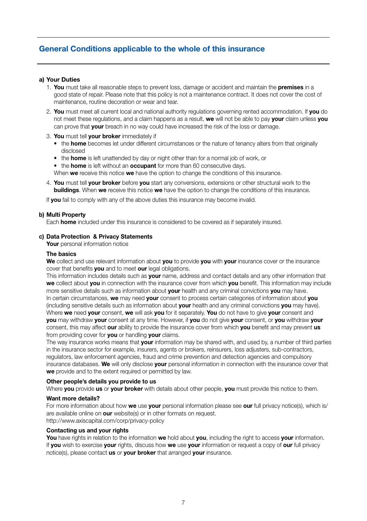### **a) Your Duties**

- 1. **You** must take all reasonable steps to prevent loss, damage or accident and maintain the **premises** in a good state of repair. Please note that this policy is not a maintenance contract. It does not cover the cost of maintenance, routine decoration or wear and tear.
- 2. **You** must meet all current local and national authority regulations governing rented accommodation. If **you** do not meet these regulations, and a claim happens as a result, **we** will not be able to pay **your** claim unless **you** can prove that **your** breach in no way could have increased the risk of the loss or damage.
- 3. **You** must tell **your broker** immediately if
	- the **home** becomes let under different circumstances or the nature of tenancy alters from that originally disclosed
	- the **home** is left unattended by day or night other than for a normal job of work, or
	- the **home** is left without an **occupant** for more than 60 consecutive days.

When **we** receive this notice **we** have the option to change the conditions of this insurance.

4. **You** must tell **your broker** before **you** start any conversions, extensions or other structural work to the **buildings**. When **we** receive this notice **we** have the option to change the conditions of this insurance.

If **you** fail to comply with any of the above duties this insurance may become invalid.

### **b) Multi Property**

Each **home** included under this insurance is considered to be covered as if separately insured.

### **c) Data Protection & Privacy Statements**

**Your** personal information notice

#### **The basics**

**We** collect and use relevant information about **you** to provide **you** with **your** insurance cover or the insurance cover that benefits **you** and to meet **our** legal obligations.

This information includes details such as **your** name, address and contact details and any other information that **we** collect about **you** in connection with the insurance cover from which **you** benefit. This information may include more sensitive details such as information about **your** health and any criminal convictions **you** may have. In certain circumstances, **we** may need **your** consent to process certain categories of information about **you** (including sensitive details such as information about **your** health and any criminal convictions **you** may have). Where **we** need **your** consent, **we** will ask **you** for it separately. **You** do not have to give **your** consent and **you** may withdraw **your** consent at any time. However, if **you** do not give **your** consent, or **you** withdraw **your** consent, this may affect **our** ability to provide the insurance cover from which **you** benefit and may prevent **us** from providing cover for **you** or handling **your** claims.

The way insurance works means that **your** information may be shared with, and used by, a number of third parties in the insurance sector for example, insurers, agents or brokers, reinsurers, loss adjusters, sub-contractors, regulators, law enforcement agencies, fraud and crime prevention and detection agencies and compulsory insurance databases. **We** will only disclose **your** personal information in connection with the insurance cover that **we** provide and to the extent required or permitted by law.

#### **Other people's details you provide to us**

Where **you** provide **us** or **your broker** with details about other people, **you** must provide this notice to them.

### **Want more details?**

For more information about how **we** use **your** personal information please see **our** full privacy notice(s), which is/ are available online on **our** website(s) or in other formats on request. http://www.axiscapital.com/corp/privacy-policy

#### **Contacting us and your rights**

**You** have rights in relation to the information **we** hold about **you**, including the right to access **your** information. If **you** wish to exercise **your** rights, discuss how **we** use **your** information or request a copy of **our** full privacy notice(s), please contact **us** or **your broker** that arranged **your** insurance.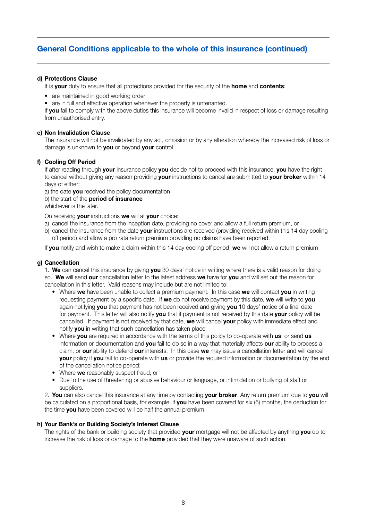### **d) Protections Clause**

It is **your** duty to ensure that all protections provided for the security of the **home** and **contents**:

- are maintained in good working order
- are in full and effective operation whenever the property is untenanted.

If **you** fail to comply with the above duties this insurance will become invalid in respect of loss or damage resulting from unauthorised entry.

### **e) Non Invalidation Clause**

The insurance will not be invalidated by any act, omission or by any alteration whereby the increased risk of loss or damage is unknown to **you** or beyond **your** control.

### **f) Cooling Off Period**

If after reading through **your** insurance policy **you** decide not to proceed with this insurance, **you** have the right to cancel without giving any reason providing **your** instructions to cancel are submitted to **your broker** within 14 days of either:

a) the date **you** received the policy documentation

b) the start of the **period of insurance**

whichever is the later.

On receiving **your** instructions **we** will at **your** choice:

- a) cancel the insurance from the inception date, providing no cover and allow a full return premium, or
- b) cancel the insurance from the date **your** instructions are received (providing received within this 14 day cooling off period) and allow a pro rata return premium providing no claims have been reported.

If **you** notify and wish to make a claim within this 14 day cooling off period, **we** will not allow a return premium

### **g) Cancellation**

1. **We** can cancel this insurance by giving **you** 30 days' notice in writing where there is a valid reason for doing so. **We** will send **our** cancellation letter to the latest address **we** have for **you** and will set out the reason for cancellation in this letter. Valid reasons may include but are not limited to:

- Where **we** have been unable to collect a premium payment. In this case **we** will contact **you** in writing requesting payment by a specific date. If **we** do not receive payment by this date, **we** will write to **you** again notifying **you** that payment has not been received and giving **you** 10 days' notice of a final date for payment. This letter will also notify **you** that if payment is not received by this date **your** policy will be cancelled. If payment is not received by that date, **we** will cancel **your** policy with immediate effect and notify **you** in writing that such cancellation has taken place;
- Where **you** are required in accordance with the terms of this policy to co-operate with **us**, or send **us** information or documentation and **you** fail to do so in a way that materially affects **our** ability to process a claim, or **our** ability to defend **our** interests. In this case **we** may issue a cancellation letter and will cancel **your** policy if **you** fail to co-operate with **us** or provide the required information or documentation by the end of the cancellation notice period;
- Where **we** reasonably suspect fraud; or
- Due to the use of threatening or abusive behaviour or language, or intimidation or bullying of staff or suppliers.

2. **You** can also cancel this insurance at any time by contacting **your broker**. Any return premium due to **you** will be calculated on a proportional basis, for example, if **you** have been covered for six (6) months, the deduction for the time **you** have been covered will be half the annual premium.

### **h) Your Bank's or Building Society's Interest Clause**

The rights of the bank or building society that provided **your** mortgage will not be affected by anything **you** do to increase the risk of loss or damage to the **home** provided that they were unaware of such action.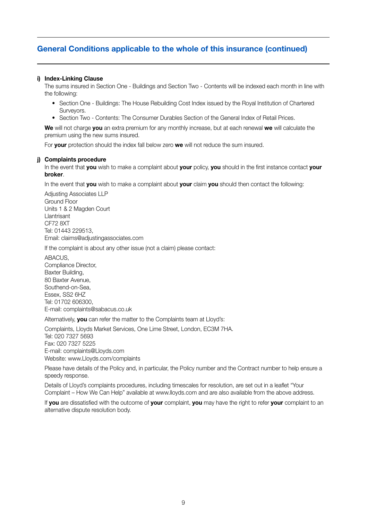### **i) Index-Linking Clause**

The sums insured in Section One - Buildings and Section Two - Contents will be indexed each month in line with the following:

- Section One Buildings: The House Rebuilding Cost Index issued by the Royal Institution of Chartered Surveyors.
- Section Two Contents: The Consumer Durables Section of the General Index of Retail Prices.

**We** will not charge **you** an extra premium for any monthly increase, but at each renewal **we** will calculate the premium using the new sums insured.

For **your** protection should the index fall below zero **we** will not reduce the sum insured.

#### **j) Complaints procedure**

In the event that **you** wish to make a complaint about **your** policy, **you** should in the first instance contact **your broker**.

In the event that **you** wish to make a complaint about **your** claim **you** should then contact the following:

Adjusting Associates LLP Ground Floor Units 1 & 2 Magden Court Llantrisant CF72 8XT Tel: 01443 229513, Email: claims@adjustingassociates.com

If the complaint is about any other issue (not a claim) please contact:

**ABACUS** Compliance Director, Baxter Building, 80 Baxter Avenue, Southend-on-Sea, Essex, SS2 6HZ Tel: 01702 606300, E-mail: complaints@sabacus.co.uk

Alternatively, **you** can refer the matter to the Complaints team at Lloyd's:

Complaints, Lloyds Market Services, One Lime Street, London, EC3M 7HA. Tel: 020 7327 5693 Fax: 020 7327 5225 E-mail: complaints@Lloyds.com Website: www.Lloyds.com/complaints

Please have details of the Policy and, in particular, the Policy number and the Contract number to help ensure a speedy response.

Details of Lloyd's complaints procedures, including timescales for resolution, are set out in a leaflet "Your Complaint – How We Can Help" available at www.lloyds.com and are also available from the above address.

If **you** are dissatisfied with the outcome of **your** complaint, **you** may have the right to refer **your** complaint to an alternative dispute resolution body.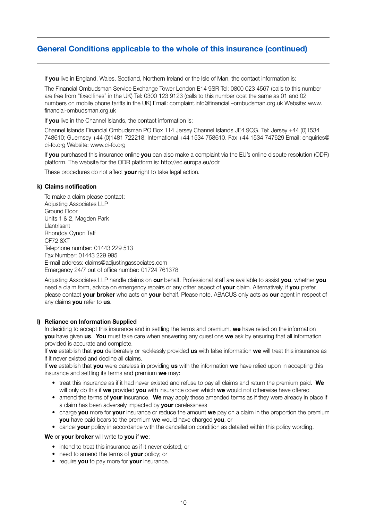If **you** live in England, Wales, Scotland, Northern Ireland or the Isle of Man, the contact information is:

The Financial Ombudsman Service Exchange Tower London E14 9SR Tel: 0800 023 4567 (calls to this number are free from "fixed lines" in the UK) Tel: 0300 123 9123 (calls to this number cost the same as 01 and 02 numbers on mobile phone tariffs in the UK) Email: complaint.info@financial –ombudsman.org.uk Website: www. financial-ombudsman.org.uk

If **you** live in the Channel Islands, the contact information is:

Channel Islands Financial Ombudsman PO Box 114 Jersey Channel Islands JE4 9QG. Tel: Jersey +44 (0)1534 748610; Guernsey +44 (0)1481 722218; International +44 1534 758610. Fax +44 1534 747629 Email: enquiries@ ci-fo.org Website: www.ci-fo.org

If **you** purchased this insurance online **you** can also make a complaint via the EU's online dispute resolution (ODR) platform. The website for the ODR platform is: http://ec.europa.eu/odr

These procedures do not affect **your** right to take legal action.

### **k) Claims notification**

To make a claim please contact: Adjusting Associates LLP Ground Floor Units 1 & 2, Magden Park Llantrisant Rhondda Cynon Taff CF72 8XT Telephone number: 01443 229 513 Fax Number: 01443 229 995 E-mail address: claims@adjustingassociates.com Emergency 24/7 out of office number: 01724 761378

Adjusting Associates LLP handle claims on **our** behalf. Professional staff are available to assist **you**, whether **you** need a claim form, advice on emergency repairs or any other aspect of **your** claim. Alternatively, if **you** prefer, please contact **your broker** who acts on **your** behalf. Please note, ABACUS only acts as **our** agent in respect of any claims **you** refer to **us**.

### **l) Reliance on Information Supplied**

In deciding to accept this insurance and in settling the terms and premium, **we** have relied on the information **you** have given **us**. **You** must take care when answering any questions **we** ask by ensuring that all information provided is accurate and complete.

If **we** establish that **you** deliberately or recklessly provided **us** with false information **we** will treat this insurance as if it never existed and decline all claims.

If **we** establish that **you** were careless in providing **us** with the information **we** have relied upon in accepting this insurance and settling its terms and premium **we** may:

- treat this insurance as if it had never existed and refuse to pay all claims and return the premium paid. **We** will only do this if **we** provided **you** with insurance cover which **we** would not otherwise have offered
- amend the terms of **your** insurance. **We** may apply these amended terms as if they were already in place if a claim has been adversely impacted by **your** carelessness
- charge **you** more for **your** insurance or reduce the amount **we** pay on a claim in the proportion the premium **you** have paid bears to the premium **we** would have charged **you**, or
- cancel **your** policy in accordance with the cancellation condition as detailed within this policy wording.

**We** or **your broker** will write to **you** if **we**:

- intend to treat this insurance as if it never existed; or
- need to amend the terms of **your** policy; or
- require **you** to pay more for **your** insurance.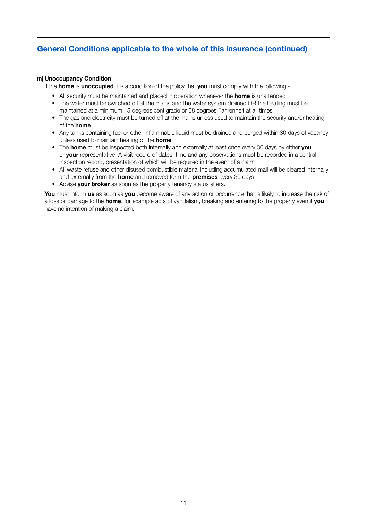### **m) Unoccupancy Condition**

If the **home** is **unoccupied** it is a condition of the policy that **you** must comply with the following:-

- All security must be maintained and placed in operation whenever the **home** is unattended
- The water must be switched off at the mains and the water system drained OR the heating must be maintained at a minimum 15 degrees centigrade or 58 degrees Fahrenheit at all times
- The gas and electricity must be turned off at the mains unless used to maintain the security and/or heating of the **home**
- Any tanks containing fuel or other inflammable liquid must be drained and purged within 30 days of vacancy unless used to maintain heating of the **home**
- The **home** must be inspected both internally and externally at least once every 30 days by either **you** or **your** representative. A visit record of dates, time and any observations must be recorded in a central inspection record, presentation of which will be required in the event of a claim
- All waste refuse and other disused combustible material including accumulated mail will be cleared internally and externally from the **home** and removed form the **premises** every 30 days
- Advise **your broker** as soon as the property tenancy status alters.

**You** must inform **us** as soon as **you** become aware of any action or occurrence that is likely to increase the risk of a loss or damage to the **home**, for example acts of vandalism, breaking and entering to the property even if **you** have no intention of making a claim.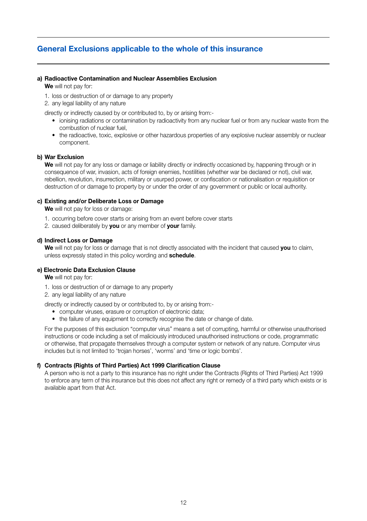### **General Exclusions applicable to the whole of this insurance**

### **a) Radioactive Contamination and Nuclear Assemblies Exclusion**

**We** will not pay for:

- 1. loss or destruction of or damage to any property
- 2. any legal liability of any nature

directly or indirectly caused by or contributed to, by or arising from:-

- ionising radiations or contamination by radioactivity from any nuclear fuel or from any nuclear waste from the combustion of nuclear fuel,
- the radioactive, toxic, explosive or other hazardous properties of any explosive nuclear assembly or nuclear component.

#### **b) War Exclusion**

**We** will not pay for any loss or damage or liability directly or indirectly occasioned by, happening through or in consequence of war, invasion, acts of foreign enemies, hostilities (whether war be declared or not), civil war, rebellion, revolution, insurrection, military or usurped power, or confiscation or nationalisation or requisition or destruction of or damage to property by or under the order of any government or public or local authority.

### **c) Existing and/or Deliberate Loss or Damage**

**We** will not pay for loss or damage:

- 1. occurring before cover starts or arising from an event before cover starts
- 2. caused deliberately by **you** or any member of **your** family.

### **d) Indirect Loss or Damage**

**We** will not pay for loss or damage that is not directly associated with the incident that caused **you** to claim, unless expressly stated in this policy wording and **schedule**.

### **e) Electronic Data Exclusion Clause**

**We** will not pay for:

- 1. loss or destruction of or damage to any property
- 2. any legal liability of any nature

#### directly or indirectly caused by or contributed to, by or arising from:-

- computer viruses, erasure or corruption of electronic data;
- the failure of any equipment to correctly recognise the date or change of date.

For the purposes of this exclusion "computer virus" means a set of corrupting, harmful or otherwise unauthorised instructions or code including a set of maliciously introduced unauthorised instructions or code, programmatic or otherwise, that propagate themselves through a computer system or network of any nature. Computer virus includes but is not limited to 'trojan horses', 'worms' and 'time or logic bombs'.

### **f) Contracts (Rights of Third Parties) Act 1999 Clarification Clause**

A person who is not a party to this insurance has no right under the Contracts (Rights of Third Parties) Act 1999 to enforce any term of this insurance but this does not affect any right or remedy of a third party which exists or is available apart from that Act.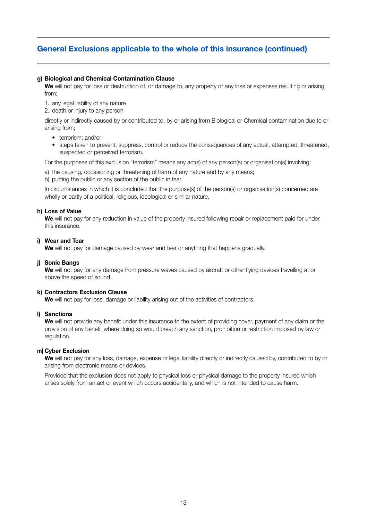### **g) Biological and Chemical Contamination Clause**

**We** will not pay for loss or destruction of, or damage to, any property or any loss or expenses resulting or arising from;

1. any legal liability of any nature

2. death or injury to any person

directly or indirectly caused by or contributed to, by or arising from Biological or Chemical contamination due to or arising from;

- terrorism: and/or
- steps taken to prevent, suppress, control or reduce the consequences of any actual, attempted, threatened, suspected or perceived terrorism.

For the purposes of this exclusion "terrorism" means any act(s) of any person(s) or organisation(s) involving:

- a) the causing, occasioning or threatening of harm of any nature and by any means;
- b) putting the public or any section of the public in fear.

In circumstances in which it is concluded that the purpose(s) of the person(s) or organisation(s) concerned are wholly or partly of a political, religious, ideological or similar nature.

### **h) Loss of Value**

**We** will not pay for any reduction in value of the property insured following repair or replacement paid for under this insurance.

#### **i) Wear and Tear**

We will not pay for damage caused by wear and tear or anything that happens gradually.

### **j) Sonic Bangs**

**We** will not pay for any damage from pressure waves caused by aircraft or other flying devices travelling at or above the speed of sound.

### **k) Contractors Exclusion Clause**

**We** will not pay for loss, damage or liability arising out of the activities of contractors.

### **l) Sanctions**

**We** will not provide any benefit under this insurance to the extent of providing cover, payment of any claim or the provision of any benefit where doing so would breach any sanction, prohibition or restriction imposed by law or regulation.

### **m) Cyber Exclusion**

We will not pay for any loss, damage, expense or legal liability directly or indirectly caused by, contributed to by or arising from electronic means or devices.

Provided that the exclusion does not apply to physical loss or physical damage to the property insured which arises solely from an act or event which occurs accidentally, and which is not intended to cause harm.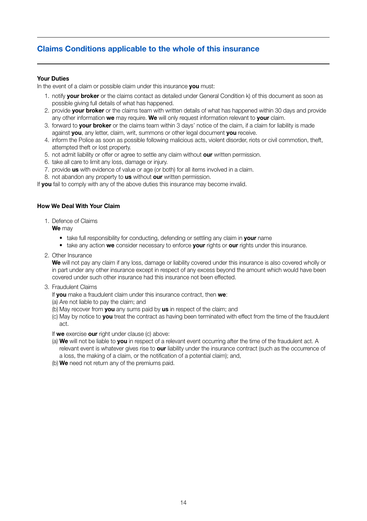### **Claims Conditions applicable to the whole of this insurance**

### **Your Duties**

In the event of a claim or possible claim under this insurance **you** must:

- 1. notify **your broker** or the claims contact as detailed under General Condition k) of this document as soon as possible giving full details of what has happened.
- 2. provide **your broker** or the claims team with written details of what has happened within 30 days and provide any other information **we** may require. **We** will only request information relevant to **your** claim.
- 3. forward to **your broker** or the claims team within 3 days' notice of the claim, if a claim for liability is made against **you**, any letter, claim, writ, summons or other legal document **you** receive.
- 4. inform the Police as soon as possible following malicious acts, violent disorder, riots or civil commotion, theft, attempted theft or lost property.
- 5. not admit liability or offer or agree to settle any claim without **our** written permission.
- 6. take all care to limit any loss, damage or injury.
- 7. provide **us** with evidence of value or age (or both) for all items involved in a claim.
- 8. not abandon any property to **us** without **our** written permission.

If you fail to comply with any of the above duties this insurance may become invalid.

### **How We Deal With Your Claim**

1. Defence of Claims

**We** may

- take full responsibility for conducting, defending or settling any claim in **your** name
- take any action **we** consider necessary to enforce **your** rights or **our** rights under this insurance.
- 2. Other Insurance

**We** will not pay any claim if any loss, damage or liability covered under this insurance is also covered wholly or in part under any other insurance except in respect of any excess beyond the amount which would have been covered under such other insurance had this insurance not been effected.

3. Fraudulent Claims

If **you** make a fraudulent claim under this insurance contract, then **we**:

- (a) Are not liable to pay the claim; and
- (b) May recover from **you** any sums paid by **us** in respect of the claim; and
- (c) May by notice to **you** treat the contract as having been terminated with effect from the time of the fraudulent act.

If **we** exercise **our** right under clause (c) above:

- (a) **We** will not be liable to **you** in respect of a relevant event occurring after the time of the fraudulent act. A relevant event is whatever gives rise to **our** liability under the insurance contract (such as the occurrence of a loss, the making of a claim, or the notification of a potential claim); and,
- (b) **We** need not return any of the premiums paid.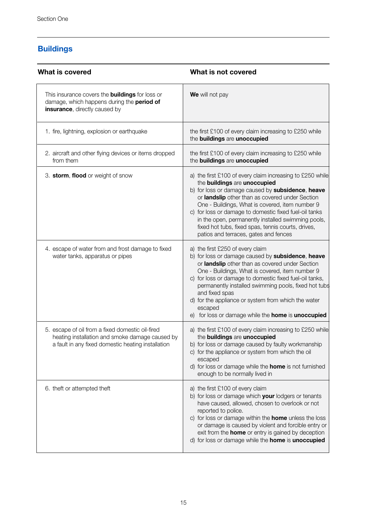# **Buildings**

| What is covered                                                                                                                                           | What is not covered                                                                                                                                                                                                                                                                                                                                                                                                                                                 |  |
|-----------------------------------------------------------------------------------------------------------------------------------------------------------|---------------------------------------------------------------------------------------------------------------------------------------------------------------------------------------------------------------------------------------------------------------------------------------------------------------------------------------------------------------------------------------------------------------------------------------------------------------------|--|
| This insurance covers the <b>buildings</b> for loss or<br>damage, which happens during the period of<br>insurance, directly caused by                     | We will not pay                                                                                                                                                                                                                                                                                                                                                                                                                                                     |  |
| 1. fire, lightning, explosion or earthquake                                                                                                               | the first £100 of every claim increasing to £250 while<br>the buildings are unoccupied                                                                                                                                                                                                                                                                                                                                                                              |  |
| 2. aircraft and other flying devices or items dropped<br>from them                                                                                        | the first £100 of every claim increasing to £250 while<br>the buildings are unoccupied                                                                                                                                                                                                                                                                                                                                                                              |  |
| 3. storm, flood or weight of snow                                                                                                                         | a) the first £100 of every claim increasing to £250 while<br>the buildings are unoccupied<br>b) for loss or damage caused by subsidence, heave<br>or landslip other than as covered under Section<br>One - Buildings, What is covered, item number 9<br>c) for loss or damage to domestic fixed fuel-oil tanks<br>in the open, permanently installed swimming pools,<br>fixed hot tubs, fixed spas, tennis courts, drives,<br>patios and terraces, gates and fences |  |
| 4. escape of water from and frost damage to fixed<br>water tanks, apparatus or pipes                                                                      | a) the first £250 of every claim<br>b) for loss or damage caused by subsidence, heave<br>or landslip other than as covered under Section<br>One - Buildings, What is covered, item number 9<br>c) for loss or damage to domestic fixed fuel-oil tanks,<br>permanently installed swimming pools, fixed hot tubs<br>and fixed spas<br>d) for the appliance or system from which the water<br>escaped<br>e) for loss or damage while the home is unoccupied            |  |
| 5. escape of oil from a fixed domestic oil-fired<br>heating installation and smoke damage caused by<br>a fault in any fixed domestic heating installation | a) the first £100 of every claim increasing to £250 while<br>the buildings are unoccupied<br>b) for loss or damage caused by faulty workmanship<br>c) for the appliance or system from which the oil<br>escaped<br>d) for loss or damage while the <b>home</b> is not furnished<br>enough to be normally lived in                                                                                                                                                   |  |
| 6. theft or attempted theft                                                                                                                               | a) the first £100 of every claim<br>b) for loss or damage which your lodgers or tenants<br>have caused, allowed, chosen to overlook or not<br>reported to police.<br>c) for loss or damage within the <b>home</b> unless the loss<br>or damage is caused by violent and forcible entry or<br>exit from the <b>home</b> or entry is gained by deception<br>d) for loss or damage while the home is unoccupied                                                        |  |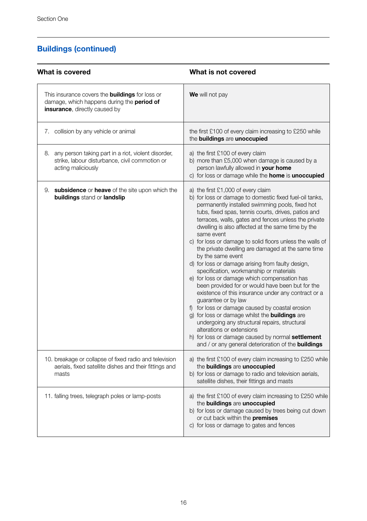| What is covered                                                                                                                       | What is not covered                                                                                                                                                                                                                                                                                                                                                                                                                                                                                                                                                                                                                                                                                                                                                                                                                                                                                                                                                                                                                                                      |
|---------------------------------------------------------------------------------------------------------------------------------------|--------------------------------------------------------------------------------------------------------------------------------------------------------------------------------------------------------------------------------------------------------------------------------------------------------------------------------------------------------------------------------------------------------------------------------------------------------------------------------------------------------------------------------------------------------------------------------------------------------------------------------------------------------------------------------------------------------------------------------------------------------------------------------------------------------------------------------------------------------------------------------------------------------------------------------------------------------------------------------------------------------------------------------------------------------------------------|
| This insurance covers the <b>buildings</b> for loss or<br>damage, which happens during the period of<br>insurance, directly caused by | We will not pay                                                                                                                                                                                                                                                                                                                                                                                                                                                                                                                                                                                                                                                                                                                                                                                                                                                                                                                                                                                                                                                          |
| 7. collision by any vehicle or animal                                                                                                 | the first £100 of every claim increasing to £250 while<br>the buildings are unoccupied                                                                                                                                                                                                                                                                                                                                                                                                                                                                                                                                                                                                                                                                                                                                                                                                                                                                                                                                                                                   |
| 8. any person taking part in a riot, violent disorder,<br>strike, labour disturbance, civil commotion or<br>acting maliciously        | a) the first £100 of every claim<br>b) more than £5,000 when damage is caused by a<br>person lawfully allowed in your home<br>c) for loss or damage while the home is unoccupied                                                                                                                                                                                                                                                                                                                                                                                                                                                                                                                                                                                                                                                                                                                                                                                                                                                                                         |
| 9. subsidence or heave of the site upon which the<br>buildings stand or landslip                                                      | a) the first £1,000 of every claim<br>b) for loss or damage to domestic fixed fuel-oil tanks,<br>permanently installed swimming pools, fixed hot<br>tubs, fixed spas, tennis courts, drives, patios and<br>terraces, walls, gates and fences unless the private<br>dwelling is also affected at the same time by the<br>same event<br>c) for loss or damage to solid floors unless the walls of<br>the private dwelling are damaged at the same time<br>by the same event<br>d) for loss or damage arising from faulty design,<br>specification, workmanship or materials<br>e) for loss or damage which compensation has<br>been provided for or would have been but for the<br>existence of this insurance under any contract or a<br>guarantee or by law<br>f) for loss or damage caused by coastal erosion<br>g) for loss or damage whilst the <b>buildings</b> are<br>undergoing any structural repairs, structural<br>alterations or extensions<br>h) for loss or damage caused by normal settlement<br>and / or any general deterioration of the <b>buildings</b> |
| 10. breakage or collapse of fixed radio and television<br>aerials, fixed satellite dishes and their fittings and<br>masts             | a) the first £100 of every claim increasing to £250 while<br>the buildings are unoccupied<br>b) for loss or damage to radio and television aerials,<br>satellite dishes, their fittings and masts                                                                                                                                                                                                                                                                                                                                                                                                                                                                                                                                                                                                                                                                                                                                                                                                                                                                        |
| 11. falling trees, telegraph poles or lamp-posts                                                                                      | a) the first £100 of every claim increasing to £250 while<br>the buildings are unoccupied<br>b) for loss or damage caused by trees being cut down<br>or cut back within the premises<br>c) for loss or damage to gates and fences                                                                                                                                                                                                                                                                                                                                                                                                                                                                                                                                                                                                                                                                                                                                                                                                                                        |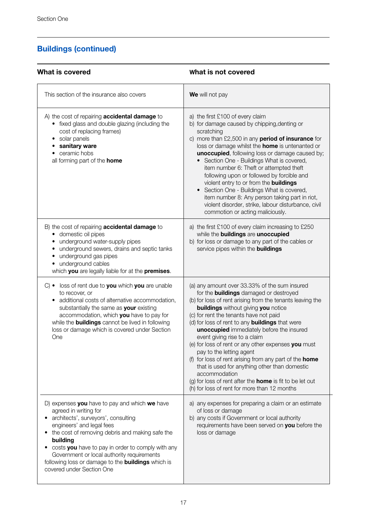| What is covered                                                                                                                                                                                                                                                                                                                                                                                            | What is not covered                                                                                                                                                                                                                                                                                                                                                                                                                                                                                                                                                                                                                                                                                                                 |  |
|------------------------------------------------------------------------------------------------------------------------------------------------------------------------------------------------------------------------------------------------------------------------------------------------------------------------------------------------------------------------------------------------------------|-------------------------------------------------------------------------------------------------------------------------------------------------------------------------------------------------------------------------------------------------------------------------------------------------------------------------------------------------------------------------------------------------------------------------------------------------------------------------------------------------------------------------------------------------------------------------------------------------------------------------------------------------------------------------------------------------------------------------------------|--|
| This section of the insurance also covers                                                                                                                                                                                                                                                                                                                                                                  | We will not pay                                                                                                                                                                                                                                                                                                                                                                                                                                                                                                                                                                                                                                                                                                                     |  |
| A) the cost of repairing <b>accidental damage</b> to<br>• fixed glass and double glazing (including the<br>cost of replacing frames)<br>· solar panels<br>• sanitary ware<br>• ceramic hobs<br>all forming part of the <b>home</b>                                                                                                                                                                         | a) the first £100 of every claim<br>b) for damage caused by chipping, denting or<br>scratching<br>c) more than £2,500 in any period of insurance for<br>loss or damage whilst the <b>home</b> is untenanted or<br>unoccupied, following loss or damage caused by;<br>• Section One - Buildings What is covered,<br>item number 6: Theft or attempted theft<br>following upon or followed by forcible and<br>violent entry to or from the <b>buildings</b><br>• Section One - Buildings What is covered,<br>item number 8: Any person taking part in riot,<br>violent disorder, strike, labour disturbance, civil<br>commotion or acting maliciously.                                                                                |  |
| B) the cost of repairing <b>accidental damage</b> to<br>· domestic oil pipes<br>• underground water-supply pipes<br>• underground sewers, drains and septic tanks<br>• underground gas pipes<br>· underground cables<br>which you are legally liable for at the premises.                                                                                                                                  | a) the first £100 of every claim increasing to £250<br>while the buildings are unoccupied<br>b) for loss or damage to any part of the cables or<br>service pipes within the <b>buildings</b>                                                                                                                                                                                                                                                                                                                                                                                                                                                                                                                                        |  |
| $C$ ) • loss of rent due to you which you are unable<br>to recover, or<br>• additional costs of alternative accommodation,<br>substantially the same as your existing<br>accommodation, which you have to pay for<br>while the <b>buildings</b> cannot be lived in following<br>loss or damage which is covered under Section<br>One                                                                       | (a) any amount over 33.33% of the sum insured<br>for the <b>buildings</b> damaged or destroyed<br>(b) for loss of rent arising from the tenants leaving the<br><b>buildings</b> without giving you notice<br>(c) for rent the tenants have not paid<br>(d) for loss of rent to any <b>buildings</b> that were<br>unoccupied immediately before the insured<br>event giving rise to a claim<br>(e) for loss of rent or any other expenses you must<br>pay to the letting agent<br>(f) for loss of rent arising from any part of the <b>home</b><br>that is used for anything other than domestic<br>accommodation<br>(g) for loss of rent after the <b>home</b> is fit to be let out<br>(h) for loss of rent for more than 12 months |  |
| D) expenses you have to pay and which we have<br>agreed in writing for<br>architects', surveyors', consulting<br>engineers' and legal fees<br>• the cost of removing debris and making safe the<br>building<br>• costs you have to pay in order to comply with any<br>Government or local authority requirements<br>following loss or damage to the <b>buildings</b> which is<br>covered under Section One | a) any expenses for preparing a claim or an estimate<br>of loss or damage<br>b) any costs if Government or local authority<br>requirements have been served on you before the<br>loss or damage                                                                                                                                                                                                                                                                                                                                                                                                                                                                                                                                     |  |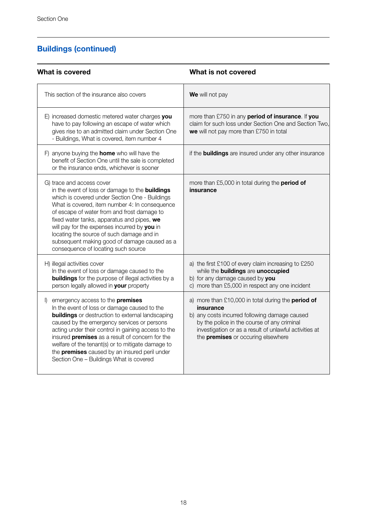| What is covered                                                                                                                                                                                                                                                                                                                                                                                                                                                          | What is not covered                                                                                                                                                                                                                                             |
|--------------------------------------------------------------------------------------------------------------------------------------------------------------------------------------------------------------------------------------------------------------------------------------------------------------------------------------------------------------------------------------------------------------------------------------------------------------------------|-----------------------------------------------------------------------------------------------------------------------------------------------------------------------------------------------------------------------------------------------------------------|
| This section of the insurance also covers                                                                                                                                                                                                                                                                                                                                                                                                                                | We will not pay                                                                                                                                                                                                                                                 |
| E) increased domestic metered water charges you<br>have to pay following an escape of water which<br>gives rise to an admitted claim under Section One<br>- Buildings, What is covered, item number 4                                                                                                                                                                                                                                                                    | more than £750 in any period of insurance. If you<br>claim for such loss under Section One and Section Two.<br>we will not pay more than £750 in total                                                                                                          |
| F) anyone buying the <b>home</b> who will have the<br>benefit of Section One until the sale is completed<br>or the insurance ends, whichever is sooner                                                                                                                                                                                                                                                                                                                   | if the <b>buildings</b> are insured under any other insurance                                                                                                                                                                                                   |
| G) trace and access cover<br>in the event of loss or damage to the <b>buildings</b><br>which is covered under Section One - Buildings<br>What is covered, item number 4: In consequence<br>of escape of water from and frost damage to<br>fixed water tanks, apparatus and pipes, we<br>will pay for the expenses incurred by you in<br>locating the source of such damage and in<br>subsequent making good of damage caused as a<br>consequence of locating such source | more than £5,000 in total during the <b>period of</b><br>insurance                                                                                                                                                                                              |
| H) illegal activities cover<br>In the event of loss or damage caused to the<br><b>buildings</b> for the purpose of illegal activities by a<br>person legally allowed in your property                                                                                                                                                                                                                                                                                    | a) the first £100 of every claim increasing to £250<br>while the buildings are unoccupied<br>b) for any damage caused by you<br>c) more than £5,000 in respect any one incident                                                                                 |
| I) emergency access to the <b>premises</b><br>In the event of loss or damage caused to the<br><b>buildings</b> or destruction to external landscaping<br>caused by the emergency services or persons<br>acting under their control in gaining access to the<br>insured premises as a result of concern for the<br>welfare of the tenant(s) or to mitigate damage to<br>the <b>premises</b> caused by an insured peril under<br>Section One - Buildings What is covered   | a) more than £10,000 in total during the period of<br>insurance<br>b) any costs incurred following damage caused<br>by the police in the course of any criminal<br>investigation or as a result of unlawful activities at<br>the premises or occuring elsewhere |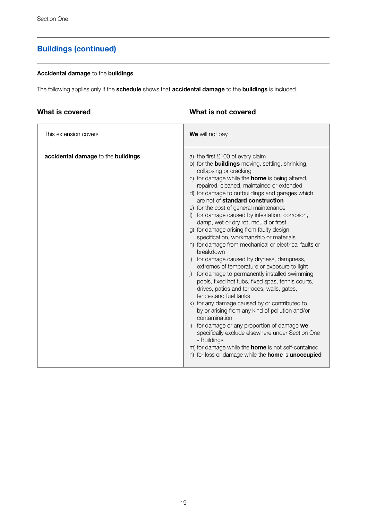### **Accidental damage** to the **buildings**

The following applies only if the **schedule** shows that **accidental damage** to the **buildings** is included.

### **What is covered**

### **What is not covered**

| This extension covers              | We will not pay                                                                                                                                                                                                                                                                                                                                                                                                                                                                                                                                                                                                                                                                                                                                                                                                                                                                                                                                                                                                                                                                                                                                                                                                                                          |
|------------------------------------|----------------------------------------------------------------------------------------------------------------------------------------------------------------------------------------------------------------------------------------------------------------------------------------------------------------------------------------------------------------------------------------------------------------------------------------------------------------------------------------------------------------------------------------------------------------------------------------------------------------------------------------------------------------------------------------------------------------------------------------------------------------------------------------------------------------------------------------------------------------------------------------------------------------------------------------------------------------------------------------------------------------------------------------------------------------------------------------------------------------------------------------------------------------------------------------------------------------------------------------------------------|
| accidental damage to the buildings | a) the first £100 of every claim<br>b) for the <b>buildings</b> moving, settling, shrinking,<br>collapsing or cracking<br>c) for damage while the <b>home</b> is being altered,<br>repaired, cleaned, maintained or extended<br>d) for damage to outbuildings and garages which<br>are not of standard construction<br>e) for the cost of general maintenance<br>f) for damage caused by infestation, corrosion,<br>damp, wet or dry rot, mould or frost<br>g) for damage arising from faulty design,<br>specification, workmanship or materials<br>h) for damage from mechanical or electrical faults or<br>breakdown<br>i) for damage caused by dryness, dampness,<br>extremes of temperature or exposure to light<br>for damage to permanently installed swimming<br>pools, fixed hot tubs, fixed spas, tennis courts,<br>drives, patios and terraces, walls, gates,<br>fences.and fuel tanks<br>k) for any damage caused by or contributed to<br>by or arising from any kind of pollution and/or<br>contamination<br>for damage or any proportion of damage we<br>specifically exclude elsewhere under Section One<br>- Buildings<br>m) for damage while the <b>home</b> is not self-contained<br>n) for loss or damage while the home is unoccupied |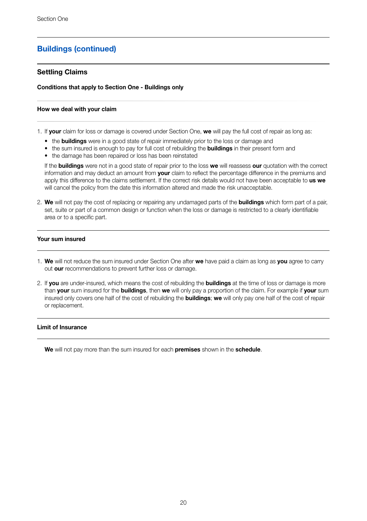### **Settling Claims**

### **Conditions that apply to Section One - Buildings only**

### **How we deal with your claim**

1. If **your** claim for loss or damage is covered under Section One, **we** will pay the full cost of repair as long as:

- the **buildings** were in a good state of repair immediately prior to the loss or damage and
- the sum insured is enough to pay for full cost of rebuilding the **buildings** in their present form and
- the damage has been repaired or loss has been reinstated

If the **buildings** were not in a good state of repair prior to the loss **we** will reassess **our** quotation with the correct information and may deduct an amount from **your** claim to reflect the percentage difference in the premiums and apply this difference to the claims settlement. If the correct risk details would not have been acceptable to **us we** will cancel the policy from the date this information altered and made the risk unacceptable.

2. **We** will not pay the cost of replacing or repairing any undamaged parts of the **buildings** which form part of a pair, set, suite or part of a common design or function when the loss or damage is restricted to a clearly identifiable area or to a specific part.

### **Your sum insured**

- 1. **We** will not reduce the sum insured under Section One after **we** have paid a claim as long as **you** agree to carry out **our** recommendations to prevent further loss or damage.
- 2. If **you** are under-insured, which means the cost of rebuilding the **buildings** at the time of loss or damage is more than **your** sum insured for the **buildings**, then **we** will only pay a proportion of the claim. For example if **your** sum insured only covers one half of the cost of rebuilding the **buildings**; **we** will only pay one half of the cost of repair or replacement.

### **Limit of Insurance**

**We** will not pay more than the sum insured for each **premises** shown in the **schedule**.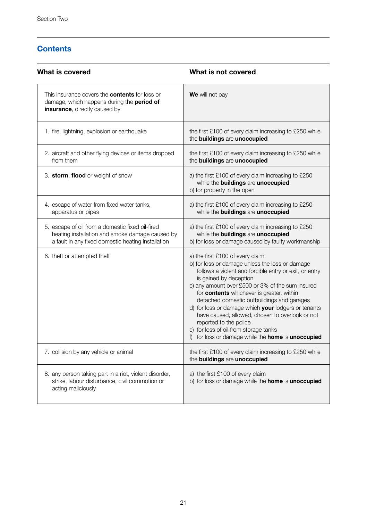# **Contents**

| What is covered                                                                                                                                           | What is not covered                                                                                                                                                                                                                                                                                                                                                                                                                                                                                                                                       |
|-----------------------------------------------------------------------------------------------------------------------------------------------------------|-----------------------------------------------------------------------------------------------------------------------------------------------------------------------------------------------------------------------------------------------------------------------------------------------------------------------------------------------------------------------------------------------------------------------------------------------------------------------------------------------------------------------------------------------------------|
| This insurance covers the <b>contents</b> for loss or<br>damage, which happens during the period of<br>insurance, directly caused by                      | We will not pay                                                                                                                                                                                                                                                                                                                                                                                                                                                                                                                                           |
| 1. fire, lightning, explosion or earthquake                                                                                                               | the first £100 of every claim increasing to £250 while<br>the buildings are unoccupied                                                                                                                                                                                                                                                                                                                                                                                                                                                                    |
| 2. aircraft and other flying devices or items dropped<br>from them                                                                                        | the first £100 of every claim increasing to £250 while<br>the buildings are unoccupied                                                                                                                                                                                                                                                                                                                                                                                                                                                                    |
| 3. storm, flood or weight of snow                                                                                                                         | a) the first £100 of every claim increasing to £250<br>while the buildings are unoccupied<br>b) for property in the open                                                                                                                                                                                                                                                                                                                                                                                                                                  |
| 4. escape of water from fixed water tanks,<br>apparatus or pipes                                                                                          | a) the first £100 of every claim increasing to £250<br>while the buildings are unoccupied                                                                                                                                                                                                                                                                                                                                                                                                                                                                 |
| 5. escape of oil from a domestic fixed oil-fired<br>heating installation and smoke damage caused by<br>a fault in any fixed domestic heating installation | a) the first £100 of every claim increasing to £250<br>while the buildings are unoccupied<br>b) for loss or damage caused by faulty workmanship                                                                                                                                                                                                                                                                                                                                                                                                           |
| 6. theft or attempted theft                                                                                                                               | a) the first £100 of every claim<br>b) for loss or damage unless the loss or damage<br>follows a violent and forcible entry or exit, or entry<br>is gained by deception<br>c) any amount over £500 or 3% of the sum insured<br>for contents whichever is greater, within<br>detached domestic outbuildings and garages<br>d) for loss or damage which your lodgers or tenants<br>have caused, allowed, chosen to overlook or not<br>reported to the police<br>e) for loss of oil from storage tanks<br>f) for loss or damage while the home is unoccupied |
| 7. collision by any vehicle or animal                                                                                                                     | the first £100 of every claim increasing to £250 while<br>the buildings are unoccupied                                                                                                                                                                                                                                                                                                                                                                                                                                                                    |
| 8. any person taking part in a riot, violent disorder,<br>strike, labour disturbance, civil commotion or<br>acting maliciously                            | a) the first £100 of every claim<br>b) for loss or damage while the home is unoccupied                                                                                                                                                                                                                                                                                                                                                                                                                                                                    |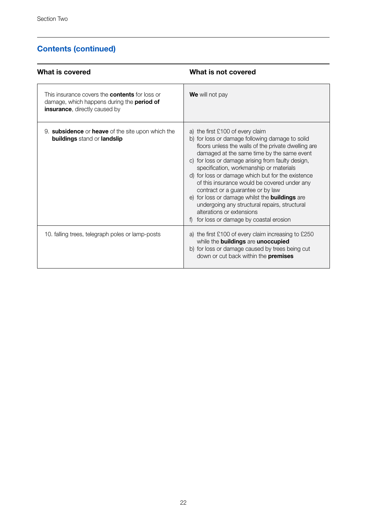# **Contents (continued)**

| What is covered                                                                                                                                     | What is not covered                                                                                                                                                                                                                                                                                                                                                                                                                                                                                                                                                                                                |
|-----------------------------------------------------------------------------------------------------------------------------------------------------|--------------------------------------------------------------------------------------------------------------------------------------------------------------------------------------------------------------------------------------------------------------------------------------------------------------------------------------------------------------------------------------------------------------------------------------------------------------------------------------------------------------------------------------------------------------------------------------------------------------------|
| This insurance covers the <b>contents</b> for loss or<br>damage, which happens during the <b>period of</b><br><b>insurance</b> , directly caused by | We will not pay                                                                                                                                                                                                                                                                                                                                                                                                                                                                                                                                                                                                    |
| 9. subsidence or heave of the site upon which the<br>buildings stand or landslip                                                                    | a) the first £100 of every claim<br>b) for loss or damage following damage to solid<br>floors unless the walls of the private dwelling are<br>damaged at the same time by the same event<br>c) for loss or damage arising from faulty design,<br>specification, workmanship or materials<br>d) for loss or damage which but for the existence<br>of this insurance would be covered under any<br>contract or a quarantee or by law<br>e) for loss or damage whilst the <b>buildings</b> are<br>undergoing any structural repairs, structural<br>alterations or extensions<br>for loss or damage by coastal erosion |
| 10. falling trees, telegraph poles or lamp-posts                                                                                                    | a) the first £100 of every claim increasing to £250<br>while the buildings are unoccupied<br>b) for loss or damage caused by trees being cut<br>down or cut back within the premises                                                                                                                                                                                                                                                                                                                                                                                                                               |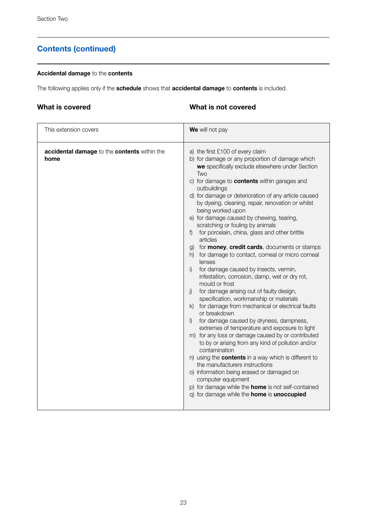# **Contents (continued)**

### **Accidental damage** to the **contents**

The following applies only if the **schedule** shows that **accidental damage** to **contents** is included.

### **What is covered**

### **What is not covered**

| This extension covers                                | We will not pay                                                                                                                                                                                                                                                                                                                                                                                                                                                                                                                                                                                                                                                                                                                                                                                                                                                                                                                                                                                                                                                                                                                                                                                                                                                                                                                                                                                                                                           |
|------------------------------------------------------|-----------------------------------------------------------------------------------------------------------------------------------------------------------------------------------------------------------------------------------------------------------------------------------------------------------------------------------------------------------------------------------------------------------------------------------------------------------------------------------------------------------------------------------------------------------------------------------------------------------------------------------------------------------------------------------------------------------------------------------------------------------------------------------------------------------------------------------------------------------------------------------------------------------------------------------------------------------------------------------------------------------------------------------------------------------------------------------------------------------------------------------------------------------------------------------------------------------------------------------------------------------------------------------------------------------------------------------------------------------------------------------------------------------------------------------------------------------|
| accidental damage to the contents within the<br>home | a) the first £100 of every claim<br>b) for damage or any proportion of damage which<br>we specifically exclude elsewhere under Section<br>Two<br>c) for damage to <b>contents</b> within garages and<br>outbuildings<br>d) for damage or deterioration of any article caused<br>by dyeing, cleaning, repair, renovation or whilst<br>being worked upon<br>e) for damage caused by chewing, tearing,<br>scratching or fouling by animals<br>f) for porcelain, china, glass and other brittle<br>articles<br>g) for <b>money, credit cards</b> , documents or stamps<br>h) for damage to contact, corneal or micro corneal<br>lenses<br>for damage caused by insects, vermin,<br>i)<br>infestation, corrosion, damp, wet or dry rot,<br>mould or frost<br>for damage arising out of faulty design,<br>$\mathbf{i}$<br>specification, workmanship or materials<br>k) for damage from mechanical or electrical faults<br>or breakdown<br>for damage caused by dryness, dampness,<br>$\mathbb{D}$<br>extremes of temperature and exposure to light<br>m) for any loss or damage caused by or contributed<br>to by or arising from any kind of pollution and/or<br>contamination<br>n) using the <b>contents</b> in a way which is different to<br>the manufacturers instructions<br>o) information being erased or damaged on<br>computer equipment<br>p) for damage while the <b>home</b> is not self-contained<br>q) for damage while the home is unoccupied |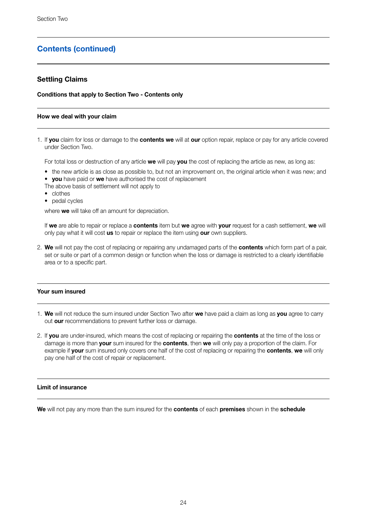### **Contents (continued)**

### **Settling Claims**

**Conditions that apply to Section Two - Contents only**

### **How we deal with your claim**

1. If **you** claim for loss or damage to the **contents we** will at **our** option repair, replace or pay for any article covered under Section Two.

For total loss or destruction of any article **we** will pay **you** the cost of replacing the article as new, as long as:

- the new article is as close as possible to, but not an improvement on, the original article when it was new; and
- **you** have paid or **we** have authorised the cost of replacement
- The above basis of settlement will not apply to
- clothes
- pedal cycles

where **we** will take off an amount for depreciation.

If **we** are able to repair or replace a **contents** item but **we** agree with **your** request for a cash settlement, **we** will only pay what it will cost **us** to repair or replace the item using **our** own suppliers.

2. **We** will not pay the cost of replacing or repairing any undamaged parts of the **contents** which form part of a pair, set or suite or part of a common design or function when the loss or damage is restricted to a clearly identifiable area or to a specific part.

### **Your sum insured**

- 1. **We** will not reduce the sum insured under Section Two after **we** have paid a claim as long as **you** agree to carry out **our** recommendations to prevent further loss or damage.
- 2. If **you** are under-insured, which means the cost of replacing or repairing the **contents** at the time of the loss or damage is more than **your** sum insured for the **contents**, then **we** will only pay a proportion of the claim. For example if **your** sum insured only covers one half of the cost of replacing or repairing the **contents**, **we** will only pay one half of the cost of repair or replacement.

### **Limit of insurance**

**We** will not pay any more than the sum insured for the **contents** of each **premises** shown in the **schedule**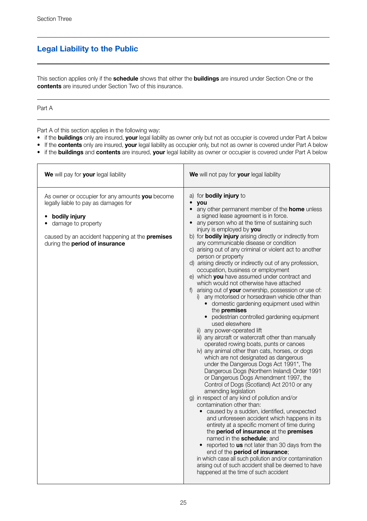# **Legal Liability to the Public**

This section applies only if the **schedule** shows that either the **buildings** are insured under Section One or the **contents** are insured under Section Two of this insurance.

### Part A

Part A of this section applies in the following way:

- if the **buildings** only are insured, **your** legal liability as owner only but not as occupier is covered under Part A below
- If the **contents** only are insured, **your** legal liability as occupier only, but not as owner is covered under Part A below
- if the **buildings** and **contents** are insured, **your** legal liability as owner or occupier is covered under Part A below

| We will pay for your legal liability                                                                                                                                                                                  | We will not pay for your legal liability                                                                                                                                                                                                                                                                                                                                                                                                                                                                                                                                                                                                                                                                                                                                                                                                                                                                                                                                                                                                                                                                                                                                                                                                                                                                                                                                                                                                                                                                                                                                                                                                                                                                                                                                                                                                                                            |
|-----------------------------------------------------------------------------------------------------------------------------------------------------------------------------------------------------------------------|-------------------------------------------------------------------------------------------------------------------------------------------------------------------------------------------------------------------------------------------------------------------------------------------------------------------------------------------------------------------------------------------------------------------------------------------------------------------------------------------------------------------------------------------------------------------------------------------------------------------------------------------------------------------------------------------------------------------------------------------------------------------------------------------------------------------------------------------------------------------------------------------------------------------------------------------------------------------------------------------------------------------------------------------------------------------------------------------------------------------------------------------------------------------------------------------------------------------------------------------------------------------------------------------------------------------------------------------------------------------------------------------------------------------------------------------------------------------------------------------------------------------------------------------------------------------------------------------------------------------------------------------------------------------------------------------------------------------------------------------------------------------------------------------------------------------------------------------------------------------------------------|
| As owner or occupier for any amounts you become<br>legally liable to pay as damages for<br>• bodily injury<br>damage to property<br>caused by an accident happening at the premises<br>during the period of insurance | a) for <b>bodily injury</b> to<br>vou<br>$\bullet$<br>any other permanent member of the <b>home</b> unless<br>a signed lease agreement is in force.<br>• any person who at the time of sustaining such<br>injury is employed by you<br>b) for <b>bodily injury</b> arising directly or indirectly from<br>any communicable disease or condition<br>c) arising out of any criminal or violent act to another<br>person or property<br>d) arising directly or indirectly out of any profession,<br>occupation, business or employment<br>e) which you have assumed under contract and<br>which would not otherwise have attached<br>f) arising out of your ownership, possession or use of:<br>i) any motorised or horsedrawn vehicle other than<br>• domestic gardening equipment used within<br>the premises<br>• pedestrian controlled gardening equipment<br>used eleswhere<br>ii) any power-operated lift<br>iii) any aircraft or watercraft other than manually<br>operated rowing boats, punts or canoes<br>iv) any animal other than cats, horses, or dogs<br>which are not designated as dangerous<br>under the Dangerous Dogs Act 1991*, The<br>Dangerous Dogs (Northern Ireland) Order 1991<br>or Dangerous Dogs Amendment 1997, the<br>Control of Dogs (Scotland) Act 2010 or any<br>amending legislation<br>q) in respect of any kind of pollution and/or<br>contamination other than:<br>• caused by a sudden, identified, unexpected<br>and unforeseen accident which happens in its<br>entirety at a specific moment of time during<br>the period of insurance at the premises<br>named in the schedule: and<br>• reported to us not later than 30 days from the<br>end of the <b>period of insurance</b> :<br>in which case all such pollution and/or contamination<br>arising out of such accident shall be deemed to have<br>happened at the time of such accident |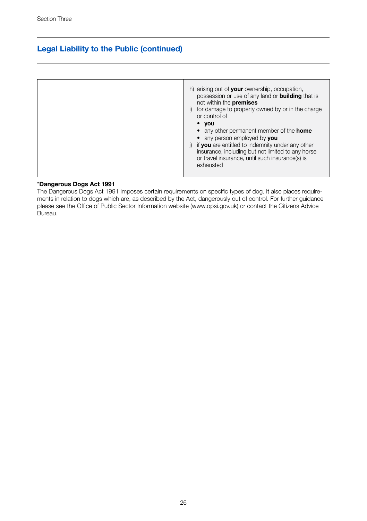### **Legal Liability to the Public (continued)**

| h) arising out of your ownership, occupation,<br>possession or use of any land or <b>building</b> that is<br>not within the premises                                                                  |
|-------------------------------------------------------------------------------------------------------------------------------------------------------------------------------------------------------|
| for damage to property owned by or in the charge<br>or control of                                                                                                                                     |
| $\bullet$ you<br>• any other permanent member of the <b>home</b>                                                                                                                                      |
| • any person employed by you<br>if you are entitled to indemnity under any other<br>insurance, including but not limited to any horse<br>or travel insurance, until such insurance(s) is<br>exhausted |

### \***Dangerous Dogs Act 1991**

The Dangerous Dogs Act 1991 imposes certain requirements on specific types of dog. It also places requirements in relation to dogs which are, as described by the Act, dangerously out of control. For further guidance please see the Office of Public Sector Information website (www.opsi.gov.uk) or contact the Citizens Advice Bureau.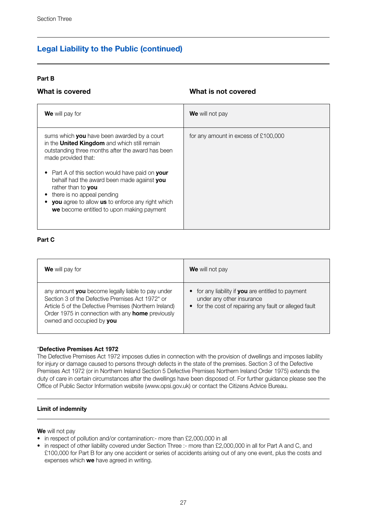### **Legal Liability to the Public (continued)**

### **Part B**

### **What is covered**

### **What is not covered**

| <b>We</b> will pay for                                                                                                                                                                                                                                                                                                                                                                                                              | We will not pay                      |
|-------------------------------------------------------------------------------------------------------------------------------------------------------------------------------------------------------------------------------------------------------------------------------------------------------------------------------------------------------------------------------------------------------------------------------------|--------------------------------------|
| sums which you have been awarded by a court<br>in the <b>United Kingdom</b> and which still remain<br>outstanding three months after the award has been<br>made provided that:<br>Part A of this section would have paid on your<br>behalf had the award been made against you<br>rather than to you<br>there is no appeal pending<br>you agree to allow us to enforce any right which<br>we become entitled to upon making payment | for any amount in excess of £100,000 |

### **Part C**

| <b>We</b> will pay for                                                                                                                                                                                                                                   | We will not pay                                                                                                                           |
|----------------------------------------------------------------------------------------------------------------------------------------------------------------------------------------------------------------------------------------------------------|-------------------------------------------------------------------------------------------------------------------------------------------|
| any amount you become legally liable to pay under<br>Section 3 of the Defective Premises Act 1972* or<br>Article 5 of the Defective Premises (Northern Ireland)<br>Order 1975 in connection with any <b>home</b> previously<br>owned and occupied by you | • for any liability if you are entitled to payment<br>under any other insurance<br>• for the cost of repairing any fault or alleged fault |

### \***Defective Premises Act 1972**

The Defective Premises Act 1972 imposes duties in connection with the provision of dwellings and imposes liability for injury or damage caused to persons through defects in the state of the premises. Section 3 of the Defective Premises Act 1972 (or in Northern Ireland Section 5 Defective Premises Northern Ireland Order 1975) extends the duty of care in certain circumstances after the dwellings have been disposed of. For further guidance please see the Office of Public Sector Information website (www.opsi.gov.uk) or contact the Citizens Advice Bureau.

### **Limit of indemnity**

**We** will not pay

- in respect of pollution and/or contamination:- more than £2,000,000 in all
- in respect of other liability covered under Section Three :- more than £2,000,000 in all for Part A and C, and £100,000 for Part B for any one accident or series of accidents arising out of any one event, plus the costs and expenses which **we** have agreed in writing.